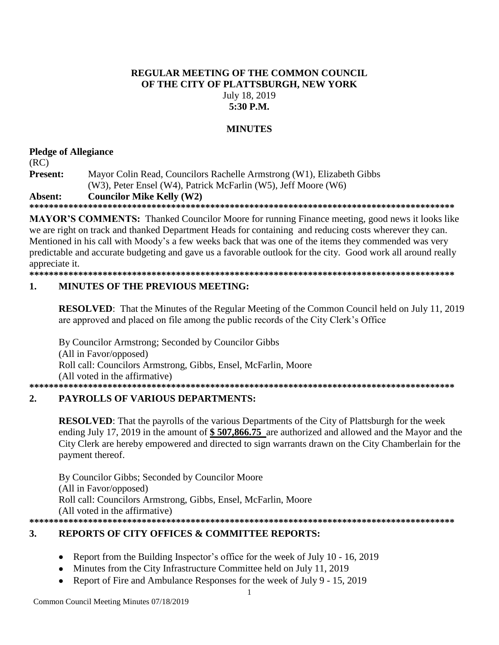### **REGULAR MEETING OF THE COMMON COUNCIL OF THE CITY OF PLATTSBURGH, NEW YORK** July 18, 2019 **5:30 P.M.**

# **MINUTES**

# **Pledge of Allegiance**

(RC) **Present:** Mayor Colin Read, Councilors Rachelle Armstrong (W1), Elizabeth Gibbs (W3), Peter Ensel (W4), Patrick McFarlin (W5), Jeff Moore (W6) **Absent: Councilor Mike Kelly (W2)**

**\*\*\*\*\*\*\*\*\*\*\*\*\*\*\*\*\*\*\*\*\*\*\*\*\*\*\*\*\*\*\*\*\*\*\*\*\*\*\*\*\*\*\*\*\*\*\*\*\*\*\*\*\*\*\*\*\*\*\*\*\*\*\*\*\*\*\*\*\*\*\*\*\*\*\*\*\*\*\*\*\*\*\*\*\*\*\***

**MAYOR'S COMMENTS:** Thanked Councilor Moore for running Finance meeting, good news it looks like we are right on track and thanked Department Heads for containing and reducing costs wherever they can. Mentioned in his call with Moody's a few weeks back that was one of the items they commended was very predictable and accurate budgeting and gave us a favorable outlook for the city. Good work all around really appreciate it.

**\*\*\*\*\*\*\*\*\*\*\*\*\*\*\*\*\*\*\*\*\*\*\*\*\*\*\*\*\*\*\*\*\*\*\*\*\*\*\*\*\*\*\*\*\*\*\*\*\*\*\*\*\*\*\*\*\*\*\*\*\*\*\*\*\*\*\*\*\*\*\*\*\*\*\*\*\*\*\*\*\*\*\*\*\*\*\***

#### **1. MINUTES OF THE PREVIOUS MEETING:**

**RESOLVED**: That the Minutes of the Regular Meeting of the Common Council held on July 11, 2019 are approved and placed on file among the public records of the City Clerk's Office

By Councilor Armstrong; Seconded by Councilor Gibbs (All in Favor/opposed) Roll call: Councilors Armstrong, Gibbs, Ensel, McFarlin, Moore (All voted in the affirmative) **\*\*\*\*\*\*\*\*\*\*\*\*\*\*\*\*\*\*\*\*\*\*\*\*\*\*\*\*\*\*\*\*\*\*\*\*\*\*\*\*\*\*\*\*\*\*\*\*\*\*\*\*\*\*\*\*\*\*\*\*\*\*\*\*\*\*\*\*\*\*\*\*\*\*\*\*\*\*\*\*\*\*\*\*\*\*\***

# **2. PAYROLLS OF VARIOUS DEPARTMENTS:**

**RESOLVED**: That the payrolls of the various Departments of the City of Plattsburgh for the week ending July 17, 2019 in the amount of **\$ 507,866.75** are authorized and allowed and the Mayor and the City Clerk are hereby empowered and directed to sign warrants drawn on the City Chamberlain for the payment thereof.

By Councilor Gibbs; Seconded by Councilor Moore (All in Favor/opposed) Roll call: Councilors Armstrong, Gibbs, Ensel, McFarlin, Moore (All voted in the affirmative) **\*\*\*\*\*\*\*\*\*\*\*\*\*\*\*\*\*\*\*\*\*\*\*\*\*\*\*\*\*\*\*\*\*\*\*\*\*\*\*\*\*\*\*\*\*\*\*\*\*\*\*\*\*\*\*\*\*\*\*\*\*\*\*\*\*\*\*\*\*\*\*\*\*\*\*\*\*\*\*\*\*\*\*\*\*\*\***

# **3. REPORTS OF CITY OFFICES & COMMITTEE REPORTS:**

- Report from the Building Inspector's office for the week of July 10 16, 2019
- Minutes from the City Infrastructure Committee held on July 11, 2019
- Report of Fire and Ambulance Responses for the week of July 9 15, 2019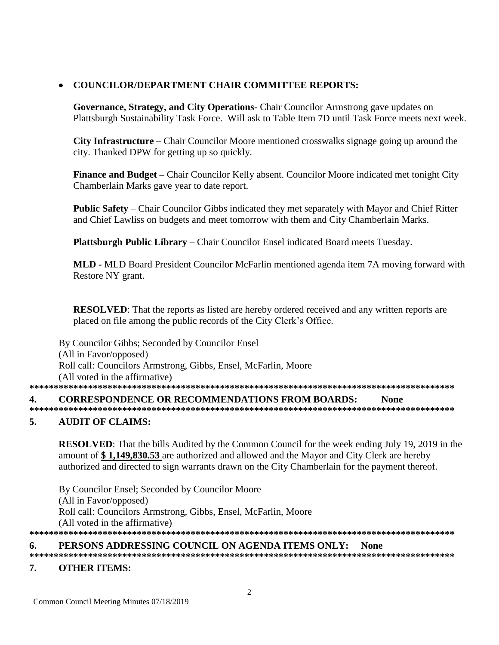# **COUNCILOR/DEPARTMENT CHAIR COMMITTEE REPORTS:**

**Governance, Strategy, and City Operations**- Chair Councilor Armstrong gave updates on Plattsburgh Sustainability Task Force. Will ask to Table Item 7D until Task Force meets next week.

**City Infrastructure** – Chair Councilor Moore mentioned crosswalks signage going up around the city. Thanked DPW for getting up so quickly.

**Finance and Budget –** Chair Councilor Kelly absent. Councilor Moore indicated met tonight City Chamberlain Marks gave year to date report.

**Public Safety** – Chair Councilor Gibbs indicated they met separately with Mayor and Chief Ritter and Chief Lawliss on budgets and meet tomorrow with them and City Chamberlain Marks.

**Plattsburgh Public Library** – Chair Councilor Ensel indicated Board meets Tuesday.

**MLD -** MLD Board President Councilor McFarlin mentioned agenda item 7A moving forward with Restore NY grant.

**RESOLVED**: That the reports as listed are hereby ordered received and any written reports are placed on file among the public records of the City Clerk's Office.

By Councilor Gibbs; Seconded by Councilor Ensel (All in Favor/opposed) Roll call: Councilors Armstrong, Gibbs, Ensel, McFarlin, Moore (All voted in the affirmative) **\*\*\*\*\*\*\*\*\*\*\*\*\*\*\*\*\*\*\*\*\*\*\*\*\*\*\*\*\*\*\*\*\*\*\*\*\*\*\*\*\*\*\*\*\*\*\*\*\*\*\*\*\*\*\*\*\*\*\*\*\*\*\*\*\*\*\*\*\*\*\*\*\*\*\*\*\*\*\*\*\*\*\*\*\*\*\* 4. CORRESPONDENCE OR RECOMMENDATIONS FROM BOARDS: None \*\*\*\*\*\*\*\*\*\*\*\*\*\*\*\*\*\*\*\*\*\*\*\*\*\*\*\*\*\*\*\*\*\*\*\*\*\*\*\*\*\*\*\*\*\*\*\*\*\*\*\*\*\*\*\*\*\*\*\*\*\*\*\*\*\*\*\*\*\*\*\*\*\*\*\*\*\*\*\*\*\*\*\*\*\*\***

# **5. AUDIT OF CLAIMS:**

**RESOLVED**: That the bills Audited by the Common Council for the week ending July 19, 2019 in the amount of **\$ 1,149,830.53** are authorized and allowed and the Mayor and City Clerk are hereby authorized and directed to sign warrants drawn on the City Chamberlain for the payment thereof.

By Councilor Ensel; Seconded by Councilor Moore (All in Favor/opposed) Roll call: Councilors Armstrong, Gibbs, Ensel, McFarlin, Moore (All voted in the affirmative) **\*\*\*\*\*\*\*\*\*\*\*\*\*\*\*\*\*\*\*\*\*\*\*\*\*\*\*\*\*\*\*\*\*\*\*\*\*\*\*\*\*\*\*\*\*\*\*\*\*\*\*\*\*\*\*\*\*\*\*\*\*\*\*\*\*\*\*\*\*\*\*\*\*\*\*\*\*\*\*\*\*\*\*\*\*\*\***

# **6. PERSONS ADDRESSING COUNCIL ON AGENDA ITEMS ONLY: None**

**\*\*\*\*\*\*\*\*\*\*\*\*\*\*\*\*\*\*\*\*\*\*\*\*\*\*\*\*\*\*\*\*\*\*\*\*\*\*\*\*\*\*\*\*\*\*\*\*\*\*\*\*\*\*\*\*\*\*\*\*\*\*\*\*\*\*\*\*\*\*\*\*\*\*\*\*\*\*\*\*\*\*\*\*\*\*\*** 

# **7. OTHER ITEMS:**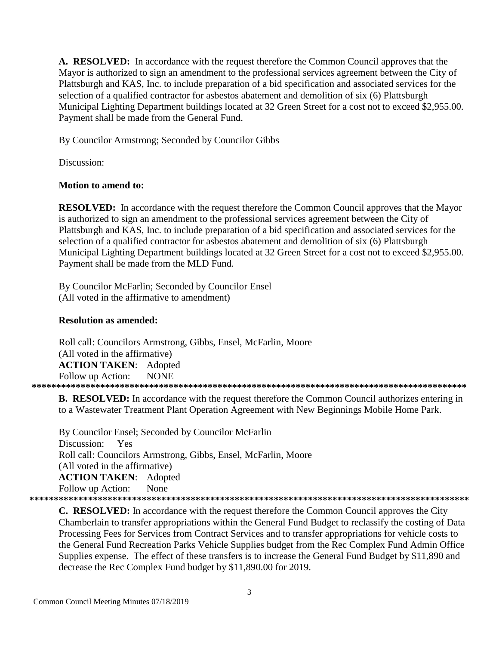**A. RESOLVED:** In accordance with the request therefore the Common Council approves that the Mayor is authorized to sign an amendment to the professional services agreement between the City of Plattsburgh and KAS, Inc. to include preparation of a bid specification and associated services for the selection of a qualified contractor for asbestos abatement and demolition of six (6) Plattsburgh Municipal Lighting Department buildings located at 32 Green Street for a cost not to exceed \$2,955.00. Payment shall be made from the General Fund.

By Councilor Armstrong; Seconded by Councilor Gibbs

Discussion:

#### **Motion to amend to:**

**RESOLVED:** In accordance with the request therefore the Common Council approves that the Mayor is authorized to sign an amendment to the professional services agreement between the City of Plattsburgh and KAS, Inc. to include preparation of a bid specification and associated services for the selection of a qualified contractor for asbestos abatement and demolition of six (6) Plattsburgh Municipal Lighting Department buildings located at 32 Green Street for a cost not to exceed \$2,955.00. Payment shall be made from the MLD Fund.

By Councilor McFarlin; Seconded by Councilor Ensel (All voted in the affirmative to amendment)

#### **Resolution as amended:**

Roll call: Councilors Armstrong, Gibbs, Ensel, McFarlin, Moore (All voted in the affirmative) **ACTION TAKEN**: Adopted Follow up Action: NONE **\*\*\*\*\*\*\*\*\*\*\*\*\*\*\*\*\*\*\*\*\*\*\*\*\*\*\*\*\*\*\*\*\*\*\*\*\*\*\*\*\*\*\*\*\*\*\*\*\*\*\*\*\*\*\*\*\*\*\*\*\*\*\*\*\*\*\*\*\*\*\*\*\*\*\*\*\*\*\*\*\*\*\*\*\*\*\*\*\***

**B. RESOLVED:** In accordance with the request therefore the Common Council authorizes entering in to a Wastewater Treatment Plant Operation Agreement with New Beginnings Mobile Home Park.

By Councilor Ensel; Seconded by Councilor McFarlin Discussion: Yes Roll call: Councilors Armstrong, Gibbs, Ensel, McFarlin, Moore (All voted in the affirmative) **ACTION TAKEN**: Adopted Follow up Action: None **\*\*\*\*\*\*\*\*\*\*\*\*\*\*\*\*\*\*\*\*\*\*\*\*\*\*\*\*\*\*\*\*\*\*\*\*\*\*\*\*\*\*\*\*\*\*\*\*\*\*\*\*\*\*\*\*\*\*\*\*\*\*\*\*\*\*\*\*\*\*\*\*\*\*\*\*\*\*\*\*\*\*\*\*\*\*\*\*\*\***

**C. RESOLVED:** In accordance with the request therefore the Common Council approves the City Chamberlain to transfer appropriations within the General Fund Budget to reclassify the costing of Data Processing Fees for Services from Contract Services and to transfer appropriations for vehicle costs to the General Fund Recreation Parks Vehicle Supplies budget from the Rec Complex Fund Admin Office Supplies expense. The effect of these transfers is to increase the General Fund Budget by \$11,890 and decrease the Rec Complex Fund budget by \$11,890.00 for 2019.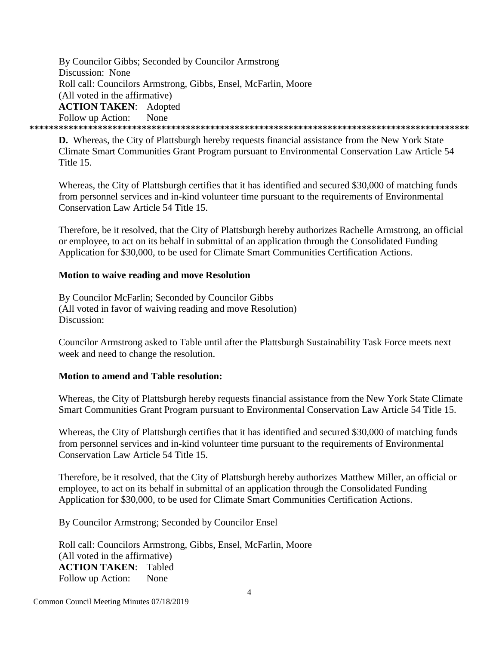By Councilor Gibbs; Seconded by Councilor Armstrong Discussion: None Roll call: Councilors Armstrong, Gibbs, Ensel, McFarlin, Moore (All voted in the affirmative) **ACTION TAKEN**: Adopted Follow up Action: None **\*\*\*\*\*\*\*\*\*\*\*\*\*\*\*\*\*\*\*\*\*\*\*\*\*\*\*\*\*\*\*\*\*\*\*\*\*\*\*\*\*\*\*\*\*\*\*\*\*\*\*\*\*\*\*\*\*\*\*\*\*\*\*\*\*\*\*\*\*\*\*\*\*\*\*\*\*\*\*\*\*\*\*\*\*\*\*\*\*\***

**D.** Whereas, the City of Plattsburgh hereby requests financial assistance from the New York State Climate Smart Communities Grant Program pursuant to Environmental Conservation Law Article 54 Title 15.

Whereas, the City of Plattsburgh certifies that it has identified and secured \$30,000 of matching funds from personnel services and in-kind volunteer time pursuant to the requirements of Environmental Conservation Law Article 54 Title 15.

Therefore, be it resolved, that the City of Plattsburgh hereby authorizes Rachelle Armstrong, an official or employee, to act on its behalf in submittal of an application through the Consolidated Funding Application for \$30,000, to be used for Climate Smart Communities Certification Actions.

#### **Motion to waive reading and move Resolution**

By Councilor McFarlin; Seconded by Councilor Gibbs (All voted in favor of waiving reading and move Resolution) Discussion:

Councilor Armstrong asked to Table until after the Plattsburgh Sustainability Task Force meets next week and need to change the resolution.

#### **Motion to amend and Table resolution:**

Whereas, the City of Plattsburgh hereby requests financial assistance from the New York State Climate Smart Communities Grant Program pursuant to Environmental Conservation Law Article 54 Title 15.

Whereas, the City of Plattsburgh certifies that it has identified and secured \$30,000 of matching funds from personnel services and in-kind volunteer time pursuant to the requirements of Environmental Conservation Law Article 54 Title 15.

Therefore, be it resolved, that the City of Plattsburgh hereby authorizes Matthew Miller, an official or employee, to act on its behalf in submittal of an application through the Consolidated Funding Application for \$30,000, to be used for Climate Smart Communities Certification Actions.

By Councilor Armstrong; Seconded by Councilor Ensel

Roll call: Councilors Armstrong, Gibbs, Ensel, McFarlin, Moore (All voted in the affirmative) **ACTION TAKEN**: Tabled Follow up Action: None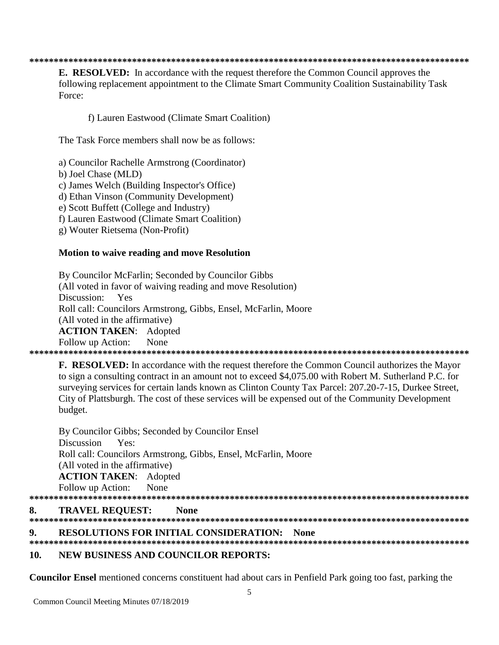#### **\*\*\*\*\*\*\*\*\*\*\*\*\*\*\*\*\*\*\*\*\*\*\*\*\*\*\*\*\*\*\*\*\*\*\*\*\*\*\*\*\*\*\*\*\*\*\*\*\*\*\*\*\*\*\*\*\*\*\*\*\*\*\*\*\*\*\*\*\*\*\*\*\*\*\*\*\*\*\*\*\*\*\*\*\*\*\*\*\*\***

**E. RESOLVED:** In accordance with the request therefore the Common Council approves the following replacement appointment to the Climate Smart Community Coalition Sustainability Task Force:

f) Lauren Eastwood (Climate Smart Coalition)

The Task Force members shall now be as follows:

a) Councilor Rachelle Armstrong (Coordinator)

b) Joel Chase (MLD)

c) James Welch (Building Inspector's Office)

d) Ethan Vinson (Community Development)

e) Scott Buffett (College and Industry)

f) Lauren Eastwood (Climate Smart Coalition)

g) Wouter Rietsema (Non-Profit)

#### **Motion to waive reading and move Resolution**

By Councilor McFarlin; Seconded by Councilor Gibbs (All voted in favor of waiving reading and move Resolution) Discussion: Yes Roll call: Councilors Armstrong, Gibbs, Ensel, McFarlin, Moore (All voted in the affirmative) **ACTION TAKEN**: Adopted Follow up Action: None **\*\*\*\*\*\*\*\*\*\*\*\*\*\*\*\*\*\*\*\*\*\*\*\*\*\*\*\*\*\*\*\*\*\*\*\*\*\*\*\*\*\*\*\*\*\*\*\*\*\*\*\*\*\*\*\*\*\*\*\*\*\*\*\*\*\*\*\*\*\*\*\*\*\*\*\*\*\*\*\*\*\*\*\*\*\*\*\*\*\***

**F. RESOLVED:** In accordance with the request therefore the Common Council authorizes the Mayor to sign a consulting contract in an amount not to exceed \$4,075.00 with Robert M. Sutherland P.C. for surveying services for certain lands known as Clinton County Tax Parcel: 207.20-7-15, Durkee Street, City of Plattsburgh. The cost of these services will be expensed out of the Community Development budget.

By Councilor Gibbs; Seconded by Councilor Ensel Discussion Yes: Roll call: Councilors Armstrong, Gibbs, Ensel, McFarlin, Moore (All voted in the affirmative) **ACTION TAKEN**: Adopted Follow up Action: None **\*\*\*\*\*\*\*\*\*\*\*\*\*\*\*\*\*\*\*\*\*\*\*\*\*\*\*\*\*\*\*\*\*\*\*\*\*\*\*\*\*\*\*\*\*\*\*\*\*\*\*\*\*\*\*\*\*\*\*\*\*\*\*\*\*\*\*\*\*\*\*\*\*\*\*\*\*\*\*\*\*\*\*\*\*\*\*\*\*\* 8. TRAVEL REQUEST: None \*\*\*\*\*\*\*\*\*\*\*\*\*\*\*\*\*\*\*\*\*\*\*\*\*\*\*\*\*\*\*\*\*\*\*\*\*\*\*\*\*\*\*\*\*\*\*\*\*\*\*\*\*\*\*\*\*\*\*\*\*\*\*\*\*\*\*\*\*\*\*\*\*\*\*\*\*\*\*\*\*\*\*\*\*\*\*\*\*\***

#### **9. RESOLUTIONS FOR INITIAL CONSIDERATION: None**

**\*\*\*\*\*\*\*\*\*\*\*\*\*\*\*\*\*\*\*\*\*\*\*\*\*\*\*\*\*\*\*\*\*\*\*\*\*\*\*\*\*\*\*\*\*\*\*\*\*\*\*\*\*\*\*\*\*\*\*\*\*\*\*\*\*\*\*\*\*\*\*\*\*\*\*\*\*\*\*\*\*\*\*\*\*\*\*\*\*\***

# **10. NEW BUSINESS AND COUNCILOR REPORTS:**

**Councilor Ensel** mentioned concerns constituent had about cars in Penfield Park going too fast, parking the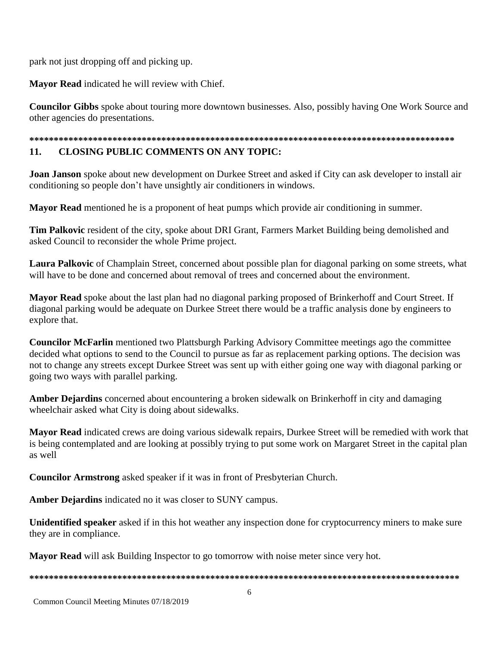park not just dropping off and picking up.

**Mayor Read** indicated he will review with Chief.

**Councilor Gibbs** spoke about touring more downtown businesses. Also, possibly having One Work Source and other agencies do presentations.

# **\*\*\*\*\*\*\*\*\*\*\*\*\*\*\*\*\*\*\*\*\*\*\*\*\*\*\*\*\*\*\*\*\*\*\*\*\*\*\*\*\*\*\*\*\*\*\*\*\*\*\*\*\*\*\*\*\*\*\*\*\*\*\*\*\*\*\*\*\*\*\*\*\*\*\*\*\*\*\*\*\*\*\*\*\*\*\***

#### **11. CLOSING PUBLIC COMMENTS ON ANY TOPIC:**

**Joan Janson** spoke about new development on Durkee Street and asked if City can ask developer to install air conditioning so people don't have unsightly air conditioners in windows.

**Mayor Read** mentioned he is a proponent of heat pumps which provide air conditioning in summer.

**Tim Palkovic** resident of the city, spoke about DRI Grant, Farmers Market Building being demolished and asked Council to reconsider the whole Prime project.

**Laura Palkovic** of Champlain Street, concerned about possible plan for diagonal parking on some streets, what will have to be done and concerned about removal of trees and concerned about the environment.

**Mayor Read** spoke about the last plan had no diagonal parking proposed of Brinkerhoff and Court Street. If diagonal parking would be adequate on Durkee Street there would be a traffic analysis done by engineers to explore that.

**Councilor McFarlin** mentioned two Plattsburgh Parking Advisory Committee meetings ago the committee decided what options to send to the Council to pursue as far as replacement parking options. The decision was not to change any streets except Durkee Street was sent up with either going one way with diagonal parking or going two ways with parallel parking.

**Amber Dejardins** concerned about encountering a broken sidewalk on Brinkerhoff in city and damaging wheelchair asked what City is doing about sidewalks.

**Mayor Read** indicated crews are doing various sidewalk repairs, Durkee Street will be remedied with work that is being contemplated and are looking at possibly trying to put some work on Margaret Street in the capital plan as well

**Councilor Armstrong** asked speaker if it was in front of Presbyterian Church.

**Amber Dejardins** indicated no it was closer to SUNY campus.

**Unidentified speaker** asked if in this hot weather any inspection done for cryptocurrency miners to make sure they are in compliance.

**Mayor Read** will ask Building Inspector to go tomorrow with noise meter since very hot.

**\*\*\*\*\*\*\*\*\*\*\*\*\*\*\*\*\*\*\*\*\*\*\*\*\*\*\*\*\*\*\*\*\*\*\*\*\*\*\*\*\*\*\*\*\*\*\*\*\*\*\*\*\*\*\*\*\*\*\*\*\*\*\*\*\*\*\*\*\*\*\*\*\*\*\*\*\*\*\*\*\*\*\*\*\*\*\*\***